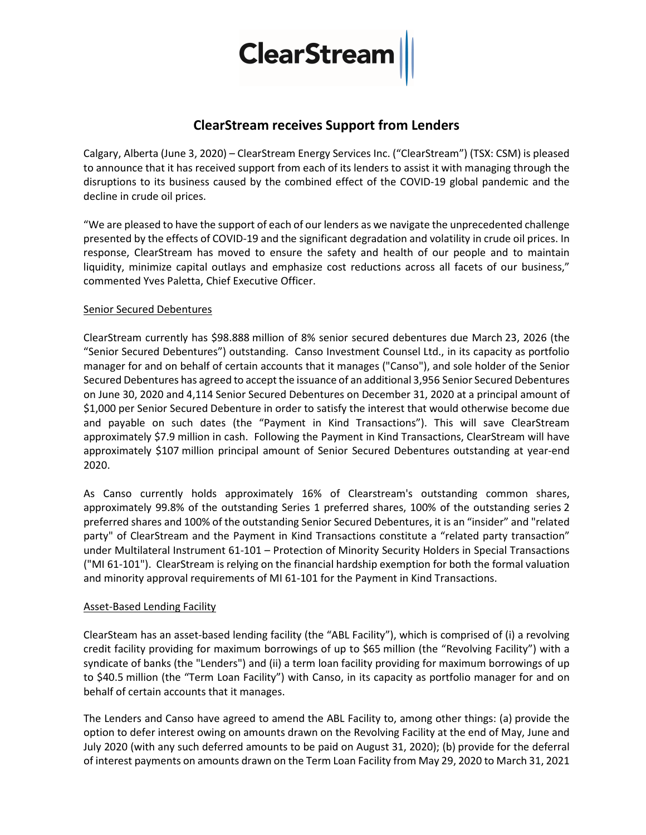# **ClearStrean**

## ClearStream receives Support from Lenders

Calgary, Alberta (June 3, 2020) – ClearStream Energy Services Inc. ("ClearStream") (TSX: CSM) is pleased to announce that it has received support from each of its lenders to assist it with managing through the disruptions to its business caused by the combined effect of the COVID-19 global pandemic and the decline in crude oil prices.

"We are pleased to have the support of each of our lenders as we navigate the unprecedented challenge presented by the effects of COVID-19 and the significant degradation and volatility in crude oil prices. In response, ClearStream has moved to ensure the safety and health of our people and to maintain liquidity, minimize capital outlays and emphasize cost reductions across all facets of our business," commented Yves Paletta, Chief Executive Officer.

#### Senior Secured Debentures

ClearStream currently has \$98.888 million of 8% senior secured debentures due March 23, 2026 (the "Senior Secured Debentures") outstanding. Canso Investment Counsel Ltd., in its capacity as portfolio manager for and on behalf of certain accounts that it manages ("Canso"), and sole holder of the Senior Secured Debentures has agreed to accept the issuance of an additional 3,956 Senior Secured Debentures on June 30, 2020 and 4,114 Senior Secured Debentures on December 31, 2020 at a principal amount of \$1,000 per Senior Secured Debenture in order to satisfy the interest that would otherwise become due and payable on such dates (the "Payment in Kind Transactions"). This will save ClearStream approximately \$7.9 million in cash. Following the Payment in Kind Transactions, ClearStream will have approximately \$107 million principal amount of Senior Secured Debentures outstanding at year-end 2020.

As Canso currently holds approximately 16% of Clearstream's outstanding common shares, approximately 99.8% of the outstanding Series 1 preferred shares, 100% of the outstanding series 2 preferred shares and 100% of the outstanding Senior Secured Debentures, it is an "insider" and "related party" of ClearStream and the Payment in Kind Transactions constitute a "related party transaction" under Multilateral Instrument 61-101 – Protection of Minority Security Holders in Special Transactions ("MI 61-101"). ClearStream is relying on the financial hardship exemption for both the formal valuation and minority approval requirements of MI 61-101 for the Payment in Kind Transactions.

#### Asset-Based Lending Facility

ClearSteam has an asset-based lending facility (the "ABL Facility"), which is comprised of (i) a revolving credit facility providing for maximum borrowings of up to \$65 million (the "Revolving Facility") with a syndicate of banks (the "Lenders") and (ii) a term loan facility providing for maximum borrowings of up to \$40.5 million (the "Term Loan Facility") with Canso, in its capacity as portfolio manager for and on behalf of certain accounts that it manages.

The Lenders and Canso have agreed to amend the ABL Facility to, among other things: (a) provide the option to defer interest owing on amounts drawn on the Revolving Facility at the end of May, June and July 2020 (with any such deferred amounts to be paid on August 31, 2020); (b) provide for the deferral of interest payments on amounts drawn on the Term Loan Facility from May 29, 2020 to March 31, 2021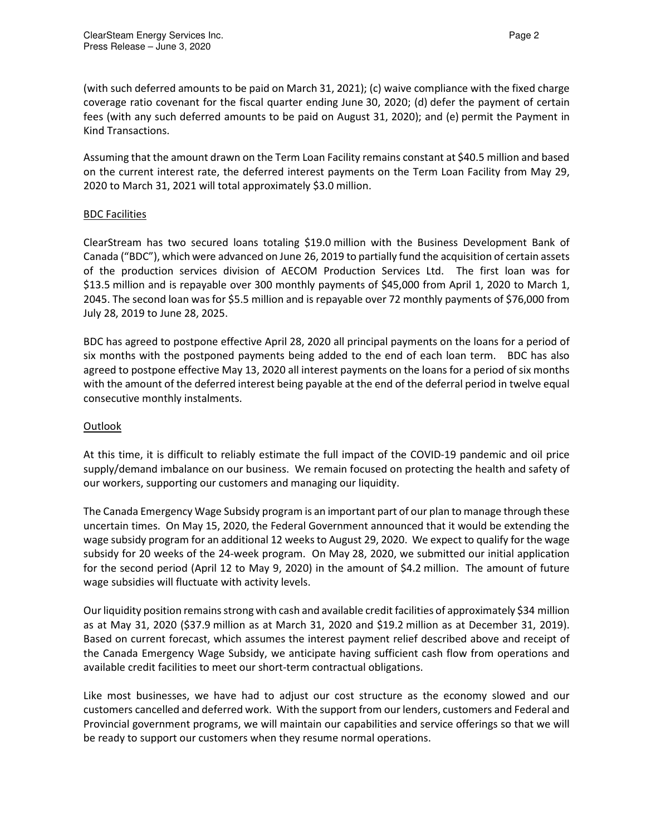(with such deferred amounts to be paid on March 31, 2021); (c) waive compliance with the fixed charge coverage ratio covenant for the fiscal quarter ending June 30, 2020; (d) defer the payment of certain fees (with any such deferred amounts to be paid on August 31, 2020); and (e) permit the Payment in Kind Transactions.

Assuming that the amount drawn on the Term Loan Facility remains constant at \$40.5 million and based on the current interest rate, the deferred interest payments on the Term Loan Facility from May 29, 2020 to March 31, 2021 will total approximately \$3.0 million.

### BDC Facilities

ClearStream has two secured loans totaling \$19.0 million with the Business Development Bank of Canada ("BDC"), which were advanced on June 26, 2019 to partially fund the acquisition of certain assets of the production services division of AECOM Production Services Ltd. The first loan was for \$13.5 million and is repayable over 300 monthly payments of \$45,000 from April 1, 2020 to March 1, 2045. The second loan was for \$5.5 million and is repayable over 72 monthly payments of \$76,000 from July 28, 2019 to June 28, 2025.

BDC has agreed to postpone effective April 28, 2020 all principal payments on the loans for a period of six months with the postponed payments being added to the end of each loan term. BDC has also agreed to postpone effective May 13, 2020 all interest payments on the loans for a period of six months with the amount of the deferred interest being payable at the end of the deferral period in twelve equal consecutive monthly instalments.

#### Outlook

At this time, it is difficult to reliably estimate the full impact of the COVID-19 pandemic and oil price supply/demand imbalance on our business. We remain focused on protecting the health and safety of our workers, supporting our customers and managing our liquidity.

The Canada Emergency Wage Subsidy program is an important part of our plan to manage through these uncertain times. On May 15, 2020, the Federal Government announced that it would be extending the wage subsidy program for an additional 12 weeks to August 29, 2020. We expect to qualify for the wage subsidy for 20 weeks of the 24-week program. On May 28, 2020, we submitted our initial application for the second period (April 12 to May 9, 2020) in the amount of \$4.2 million. The amount of future wage subsidies will fluctuate with activity levels.

Our liquidity position remains strong with cash and available credit facilities of approximately \$34 million as at May 31, 2020 (\$37.9 million as at March 31, 2020 and \$19.2 million as at December 31, 2019). Based on current forecast, which assumes the interest payment relief described above and receipt of the Canada Emergency Wage Subsidy, we anticipate having sufficient cash flow from operations and available credit facilities to meet our short-term contractual obligations.

Like most businesses, we have had to adjust our cost structure as the economy slowed and our customers cancelled and deferred work. With the support from our lenders, customers and Federal and Provincial government programs, we will maintain our capabilities and service offerings so that we will be ready to support our customers when they resume normal operations.